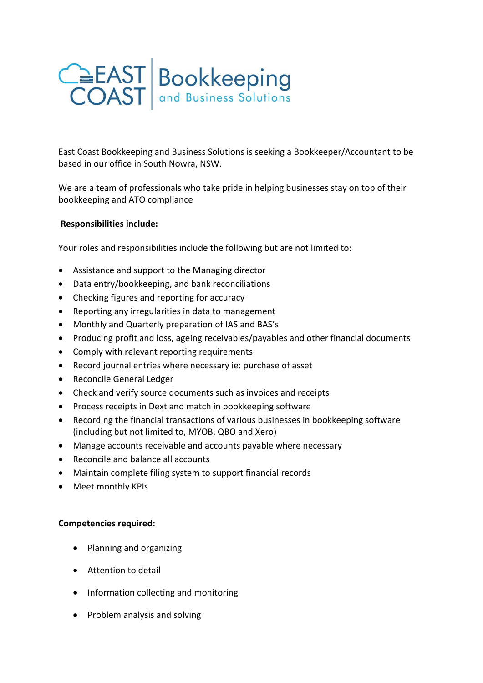

East Coast Bookkeeping and Business Solutions is seeking a Bookkeeper/Accountant to be based in our office in South Nowra, NSW.

We are a team of professionals who take pride in helping businesses stay on top of their bookkeeping and ATO compliance

## **Responsibilities include:**

Your roles and responsibilities include the following but are not limited to:

- Assistance and support to the Managing director
- Data entry/bookkeeping, and bank reconciliations
- Checking figures and reporting for accuracy
- Reporting any irregularities in data to management
- Monthly and Quarterly preparation of IAS and BAS's
- Producing profit and loss, ageing receivables/payables and other financial documents
- Comply with relevant reporting requirements
- Record journal entries where necessary ie: purchase of asset
- Reconcile General Ledger
- Check and verify source documents such as invoices and receipts
- Process receipts in Dext and match in bookkeeping software
- Recording the financial transactions of various businesses in bookkeeping software (including but not limited to, MYOB, QBO and Xero)
- Manage accounts receivable and accounts payable where necessary
- Reconcile and balance all accounts
- Maintain complete filing system to support financial records
- Meet monthly KPIs

## **Competencies required:**

- Planning and organizing
- Attention to detail
- Information collecting and monitoring
- Problem analysis and solving